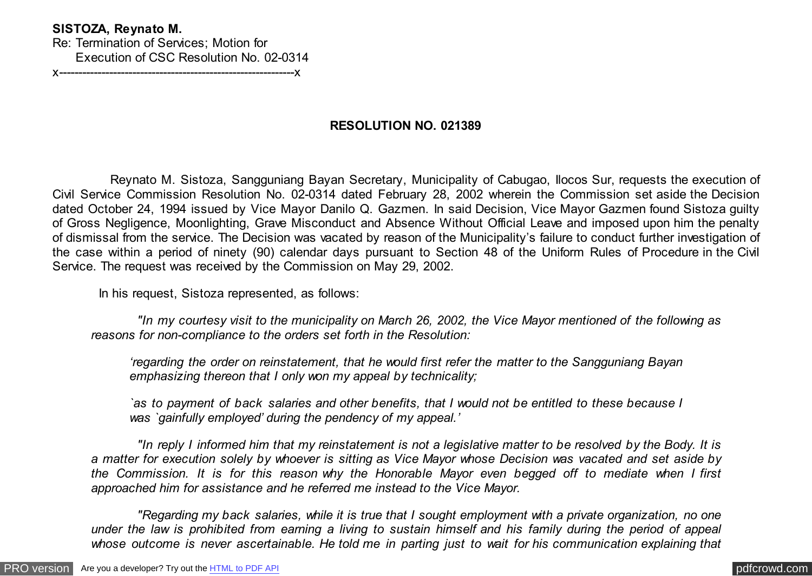## **SISTOZA, Reynato M.**

Re: Termination of Services; Motion for Execution of CSC Resolution No. 02-0314 x-------------------------------------------------------------x

## **RESOLUTION NO. 021389**

 Reynato M. Sistoza, Sangguniang Bayan Secretary, Municipality of Cabugao, Ilocos Sur, requests the execution of Civil Service Commission Resolution No. 02-0314 dated February 28, 2002 wherein the Commission set aside the Decision dated October 24, 1994 issued by Vice Mayor Danilo Q. Gazmen. In said Decision, Vice Mayor Gazmen found Sistoza guilty of Gross Negligence, Moonlighting, Grave Misconduct and Absence Without Official Leave and imposed upon him the penalty of dismissal from the service. The Decision was vacated by reason of the Municipality's failure to conduct further investigation of the case within a period of ninety (90) calendar days pursuant to Section 48 of the Uniform Rules of Procedure in the Civil Service. The request was received by the Commission on May 29, 2002.

In his request, Sistoza represented, as follows:

 *"In my courtesy visit to the municipality on March 26, 2002, the Vice Mayor mentioned of the following as reasons for non-compliance to the orders set forth in the Resolution:*

*'regarding the order on reinstatement, that he would first refer the matter to the Sangguniang Bayan emphasizing thereon that I only won my appeal by technicality;*

*`as to payment of back salaries and other benefits, that I would not be entitled to these because I was `gainfully employed' during the pendency of my appeal.'*

 *"In reply I informed him that my reinstatement is not a legislative matter to be resolved by the Body. It is a matter for execution solely by whoever is sitting as Vice Mayor whose Decision was vacated and set aside by the Commission. It is for this reason why the Honorable Mayor even begged off to mediate when I first approached him for assistance and he referred me instead to the Vice Mayor.*

 *"Regarding my back salaries, while it is true that I sought employment with a private organization, no one under the law is prohibited from earning a living to sustain himself and his family during the period of appeal whose outcome is never ascertainable. He told me in parting just to wait for his communication explaining that*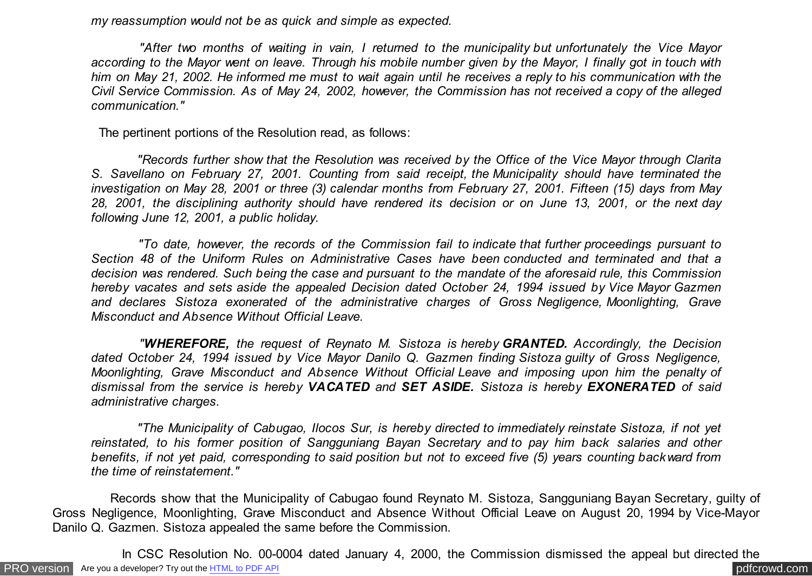*my reassumption would not be as quick and simple as expected.*

 *"After two months of waiting in vain, I returned to the municipality but unfortunately the Vice Mayor according to the Mayor went on leave. Through his mobile number given by the Mayor, I finally got in touch with him on May 21, 2002. He informed me must to wait again until he receives a reply to his communication with the Civil Service Commission. As of May 24, 2002, however, the Commission has not received a copy of the alleged communication."*

The pertinent portions of the Resolution read, as follows:

 *"Records further show that the Resolution was received by the Office of the Vice Mayor through Clarita S. Savellano on February 27, 2001. Counting from said receipt, the Municipality should have terminated the investigation on May 28, 2001 or three (3) calendar months from February 27, 2001. Fifteen (15) days from May 28, 2001, the disciplining authority should have rendered its decision or on June 13, 2001, or the next day following June 12, 2001, a public holiday.*

 *"To date, however, the records of the Commission fail to indicate that further proceedings pursuant to Section 48 of the Uniform Rules on Administrative Cases have been conducted and terminated and that a decision was rendered. Such being the case and pursuant to the mandate of the aforesaid rule, this Commission hereby vacates and sets aside the appealed Decision dated October 24, 1994 issued by Vice Mayor Gazmen and declares Sistoza exonerated of the administrative charges of Gross Negligence, Moonlighting, Grave Misconduct and Absence Without Official Leave.*

 *"WHEREFORE, the request of Reynato M. Sistoza is hereby GRANTED. Accordingly, the Decision dated October 24, 1994 issued by Vice Mayor Danilo Q. Gazmen finding Sistoza guilty of Gross Negligence, Moonlighting, Grave Misconduct and Absence Without Official Leave and imposing upon him the penalty of dismissal from the service is hereby VACATED and SET ASIDE. Sistoza is hereby EXONERATED of said administrative charges.*

 *"The Municipality of Cabugao, Ilocos Sur, is hereby directed to immediately reinstate Sistoza, if not yet reinstated, to his former position of Sangguniang Bayan Secretary and to pay him back salaries and other benefits, if not yet paid, corresponding to said position but not to exceed five (5) years counting backward from the time of reinstatement."*

 Records show that the Municipality of Cabugao found Reynato M. Sistoza, Sangguniang Bayan Secretary, guilty of Gross Negligence, Moonlighting, Grave Misconduct and Absence Without Official Leave on August 20, 1994 by Vice-Mayor Danilo Q. Gazmen. Sistoza appealed the same before the Commission.

[PRO version](http://pdfcrowd.com/customize/) Are you a developer? Try out th[e HTML to PDF API](http://pdfcrowd.com/html-to-pdf-api/?ref=pdf) compared to the CHTML of PDF API [pdfcrowd.com](http://pdfcrowd.com) In CSC Resolution No. 00-0004 dated January 4, 2000, the Commission dismissed the appeal but directed the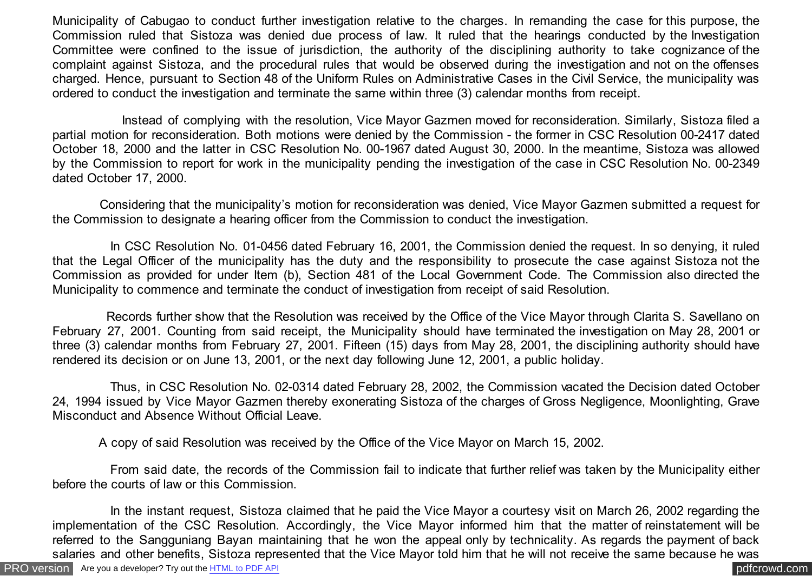Municipality of Cabugao to conduct further investigation relative to the charges. In remanding the case for this purpose, the Commission ruled that Sistoza was denied due process of law. It ruled that the hearings conducted by the Investigation Committee were confined to the issue of jurisdiction, the authority of the disciplining authority to take cognizance of the complaint against Sistoza, and the procedural rules that would be observed during the investigation and not on the offenses charged. Hence, pursuant to Section 48 of the Uniform Rules on Administrative Cases in the Civil Service, the municipality was ordered to conduct the investigation and terminate the same within three (3) calendar months from receipt.

 Instead of complying with the resolution, Vice Mayor Gazmen moved for reconsideration. Similarly, Sistoza filed a partial motion for reconsideration. Both motions were denied by the Commission - the former in CSC Resolution 00-2417 dated October 18, 2000 and the latter in CSC Resolution No. 00-1967 dated August 30, 2000. In the meantime, Sistoza was allowed by the Commission to report for work in the municipality pending the investigation of the case in CSC Resolution No. 00-2349 dated October 17, 2000.

 Considering that the municipality's motion for reconsideration was denied, Vice Mayor Gazmen submitted a request for the Commission to designate a hearing officer from the Commission to conduct the investigation.

 In CSC Resolution No. 01-0456 dated February 16, 2001, the Commission denied the request. In so denying, it ruled that the Legal Officer of the municipality has the duty and the responsibility to prosecute the case against Sistoza not the Commission as provided for under Item (b), Section 481 of the Local Government Code. The Commission also directed the Municipality to commence and terminate the conduct of investigation from receipt of said Resolution.

 Records further show that the Resolution was received by the Office of the Vice Mayor through Clarita S. Savellano on February 27, 2001. Counting from said receipt, the Municipality should have terminated the investigation on May 28, 2001 or three (3) calendar months from February 27, 2001. Fifteen (15) days from May 28, 2001, the disciplining authority should have rendered its decision or on June 13, 2001, or the next day following June 12, 2001, a public holiday.

 Thus, in CSC Resolution No. 02-0314 dated February 28, 2002, the Commission vacated the Decision dated October 24, 1994 issued by Vice Mayor Gazmen thereby exonerating Sistoza of the charges of Gross Negligence, Moonlighting, Grave Misconduct and Absence Without Official Leave.

A copy of said Resolution was received by the Office of the Vice Mayor on March 15, 2002.

 From said date, the records of the Commission fail to indicate that further relief was taken by the Municipality either before the courts of law or this Commission.

[PRO version](http://pdfcrowd.com/customize/) Are you a developer? Try out th[e HTML to PDF API](http://pdfcrowd.com/html-to-pdf-api/?ref=pdf) process and the community of the HTML to PDF API posterior and the community of the community of the community of the community of the community of the community In the instant request, Sistoza claimed that he paid the Vice Mayor a courtesy visit on March 26, 2002 regarding the implementation of the CSC Resolution. Accordingly, the Vice Mayor informed him that the matter of reinstatement will be referred to the Sangguniang Bayan maintaining that he won the appeal only by technicality. As regards the payment of back salaries and other benefits, Sistoza represented that the Vice Mayor told him that he will not receive the same because he was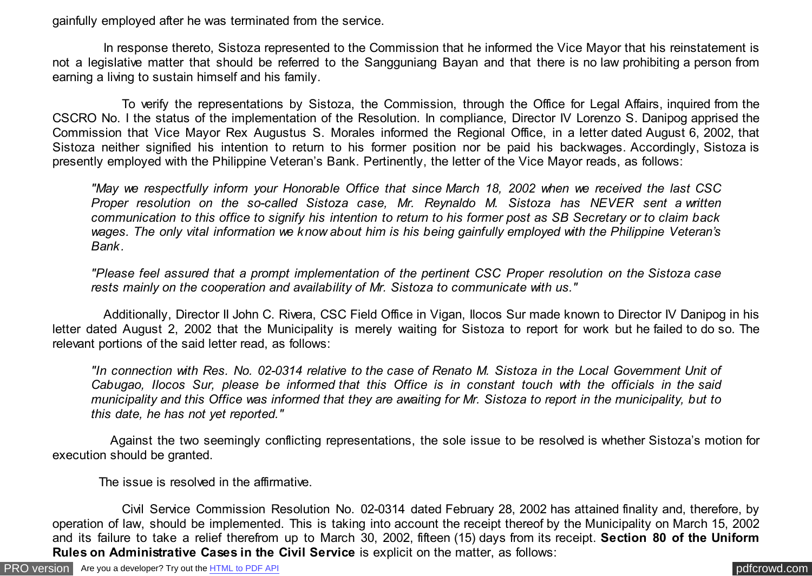gainfully employed after he was terminated from the service.

 In response thereto, Sistoza represented to the Commission that he informed the Vice Mayor that his reinstatement is not a legislative matter that should be referred to the Sangguniang Bayan and that there is no law prohibiting a person from earning a living to sustain himself and his family.

 To verify the representations by Sistoza, the Commission, through the Office for Legal Affairs, inquired from the CSCRO No. I the status of the implementation of the Resolution. In compliance, Director IV Lorenzo S. Danipog apprised the Commission that Vice Mayor Rex Augustus S. Morales informed the Regional Office, in a letter dated August 6, 2002, that Sistoza neither signified his intention to return to his former position nor be paid his backwages. Accordingly, Sistoza is presently employed with the Philippine Veteran's Bank. Pertinently, the letter of the Vice Mayor reads, as follows:

*"May we respectfully inform your Honorable Office that since March 18, 2002 when we received the last CSC Proper resolution on the so-called Sistoza case, Mr. Reynaldo M. Sistoza has NEVER sent a written communication to this office to signify his intention to return to his former post as SB Secretary or to claim back wages. The only vital information we know about him is his being gainfully employed with the Philippine Veteran's Bank.*

*"Please feel assured that a prompt implementation of the pertinent CSC Proper resolution on the Sistoza case rests mainly on the cooperation and availability of Mr. Sistoza to communicate with us."*

 Additionally, Director II John C. Rivera, CSC Field Office in Vigan, Ilocos Sur made known to Director IV Danipog in his letter dated August 2, 2002 that the Municipality is merely waiting for Sistoza to report for work but he failed to do so. The relevant portions of the said letter read, as follows:

*"In connection with Res. No. 02-0314 relative to the case of Renato M. Sistoza in the Local Government Unit of Cabugao, Ilocos Sur, please be informed that this Office is in constant touch with the officials in the said municipality and this Office was informed that they are awaiting for Mr. Sistoza to report in the municipality, but to this date, he has not yet reported."*

 Against the two seemingly conflicting representations, the sole issue to be resolved is whether Sistoza's motion for execution should be granted.

The issue is resolved in the affirmative.

 Civil Service Commission Resolution No. 02-0314 dated February 28, 2002 has attained finality and, therefore, by operation of law, should be implemented. This is taking into account the receipt thereof by the Municipality on March 15, 2002 and its failure to take a relief therefrom up to March 30, 2002, fifteen (15) days from its receipt. **Section 80 of the Uniform Rules on Administrative Cases in the Civil Service** is explicit on the matter, as follows: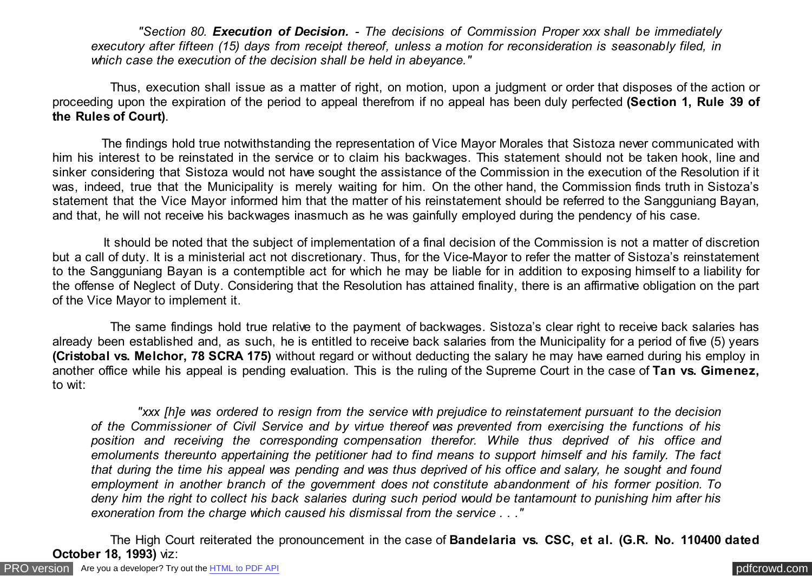*"Section 80. Execution of Decision. - The decisions of Commission Proper xxx shall be immediately executory after fifteen (15) days from receipt thereof, unless a motion for reconsideration is seasonably filed, in which case the execution of the decision shall be held in abeyance."*

 Thus, execution shall issue as a matter of right, on motion, upon a judgment or order that disposes of the action or proceeding upon the expiration of the period to appeal therefrom if no appeal has been duly perfected **(Section 1, Rule 39 of the Rules of Court)**.

 The findings hold true notwithstanding the representation of Vice Mayor Morales that Sistoza never communicated with him his interest to be reinstated in the service or to claim his backwages. This statement should not be taken hook, line and sinker considering that Sistoza would not have sought the assistance of the Commission in the execution of the Resolution if it was, indeed, true that the Municipality is merely waiting for him. On the other hand, the Commission finds truth in Sistoza's statement that the Vice Mayor informed him that the matter of his reinstatement should be referred to the Sangguniang Bayan, and that, he will not receive his backwages inasmuch as he was gainfully employed during the pendency of his case.

 It should be noted that the subject of implementation of a final decision of the Commission is not a matter of discretion but a call of duty. It is a ministerial act not discretionary. Thus, for the Vice-Mayor to refer the matter of Sistoza's reinstatement to the Sangguniang Bayan is a contemptible act for which he may be liable for in addition to exposing himself to a liability for the offense of Neglect of Duty. Considering that the Resolution has attained finality, there is an affirmative obligation on the part of the Vice Mayor to implement it.

 The same findings hold true relative to the payment of backwages. Sistoza's clear right to receive back salaries has already been established and, as such, he is entitled to receive back salaries from the Municipality for a period of five (5) years **(Cristobal vs. Melchor, 78 SCRA 175)** without regard or without deducting the salary he may have earned during his employ in another office while his appeal is pending evaluation. This is the ruling of the Supreme Court in the case of **Tan vs. Gimenez,** to wit:

 *"xxx [h]e was ordered to resign from the service with prejudice to reinstatement pursuant to the decision of the Commissioner of Civil Service and by virtue thereof was prevented from exercising the functions of his position and receiving the corresponding compensation therefor. While thus deprived of his office and emoluments thereunto appertaining the petitioner had to find means to support himself and his family. The fact that during the time his appeal was pending and was thus deprived of his office and salary, he sought and found employment in another branch of the government does not constitute abandonment of his former position. To deny him the right to collect his back salaries during such period would be tantamount to punishing him after his exoneration from the charge which caused his dismissal from the service . . ."*

 The High Court reiterated the pronouncement in the case of **Bandelaria vs. CSC, et al. (G.R. No. 110400 dated October 18, 1993)** viz: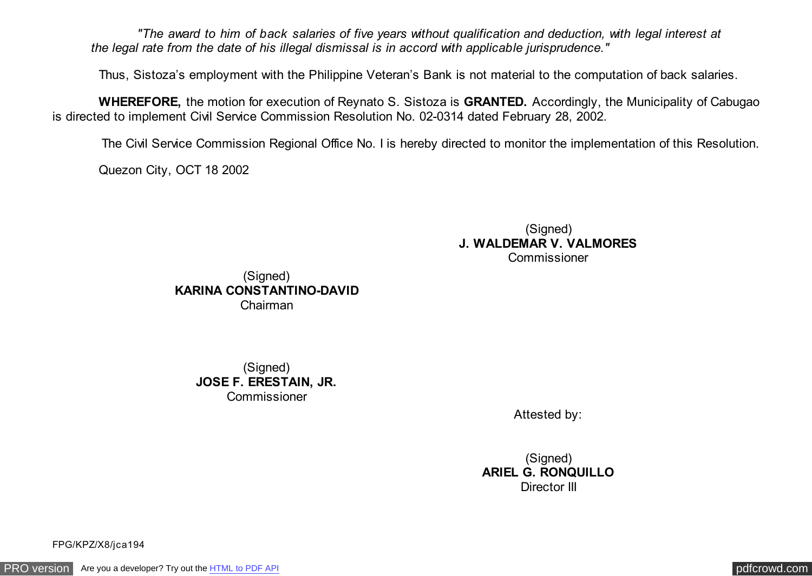*"The award to him of back salaries of five years without qualification and deduction, with legal interest at the legal rate from the date of his illegal dismissal is in accord with applicable jurisprudence."*

Thus, Sistoza's employment with the Philippine Veteran's Bank is not material to the computation of back salaries.

 **WHEREFORE,** the motion for execution of Reynato S. Sistoza is **GRANTED.** Accordingly, the Municipality of Cabugao is directed to implement Civil Service Commission Resolution No. 02-0314 dated February 28, 2002.

The Civil Service Commission Regional Office No. I is hereby directed to monitor the implementation of this Resolution.

Quezon City, OCT 18 2002

(Signed) **J. WALDEMAR V. VALMORES** Commissioner

(Signed) **KARINA CONSTANTINO-DAVID** Chairman

> (Signed) **JOSE F. ERESTAIN, JR.** Commissioner

> > Attested by:

(Signed) **ARIEL G. RONQUILLO** Director III

FPG/KPZ/X8/jca194